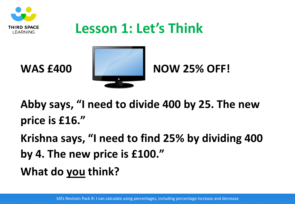

# **Lesson 1: Let's Think**



**Abby says, "I need to divide 400 by 25. The new price is £16."**

**Krishna says, "I need to find 25% by dividing 400 by 4. The new price is £100." What do you think?**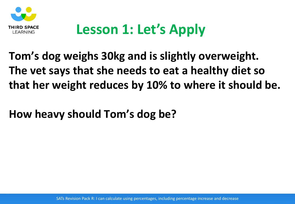

# **Lesson 1: Let's Apply**

**Tom's dog weighs 30kg and is slightly overweight. The vet says that she needs to eat a healthy diet so that her weight reduces by 10% to where it should be.**

**How heavy should Tom's dog be?**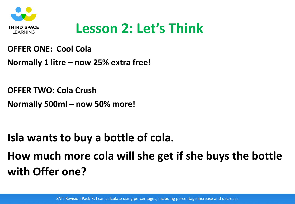

## **Lesson 2: Let's Think**

#### **OFFER ONE: Cool Cola**

**Normally 1 litre – now 25% extra free!**

**OFFER TWO: Cola Crush**

**Normally 500ml – now 50% more!**

## **Isla wants to buy a bottle of cola. How much more cola will she get if she buys the bottle with Offer one?**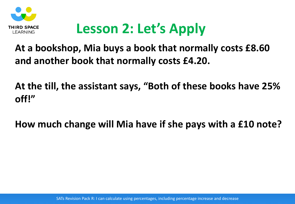

# **Lesson 2: Let's Apply**

#### **At a bookshop, Mia buys a book that normally costs £8.60 and another book that normally costs £4.20.**

**At the till, the assistant says, "Both of these books have 25% off!"**

**How much change will Mia have if she pays with a £10 note?**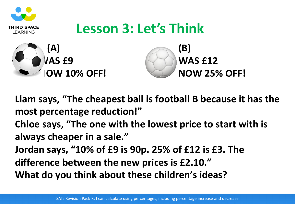

**Liam says, "The cheapest ball is football B because it has the most percentage reduction!"**

**Chloe says, "The one with the lowest price to start with is always cheaper in a sale."**

**Jordan says, "10% of £9 is 90p. 25% of £12 is £3. The difference between the new prices is £2.10." What do you think about these children's ideas?**